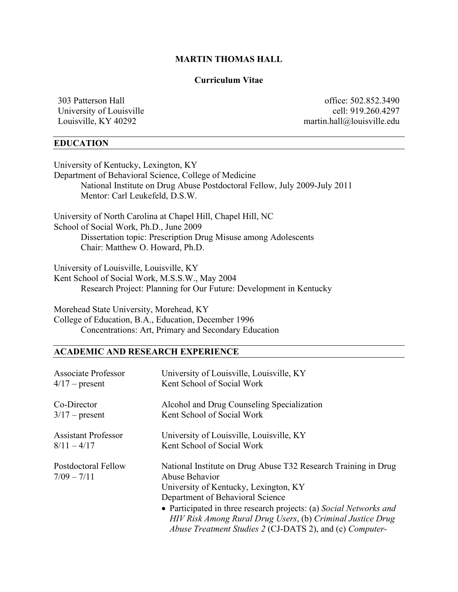# **MARTIN THOMAS HALL**

## **Curriculum Vitae**

University of Louisville<br>Louisville, KY 40292

303 Patterson Hall<br>University of Louisville<br>University of Louisville<br>Communication Section 2019<br>260.4297 martin.hall@louisville.edu

# **EDUCATION**

| University of Kentucky, Lexington, KY                                     |  |  |  |  |
|---------------------------------------------------------------------------|--|--|--|--|
| Department of Behavioral Science, College of Medicine                     |  |  |  |  |
| National Institute on Drug Abuse Postdoctoral Fellow, July 2009-July 2011 |  |  |  |  |
| Mentor: Carl Leukefeld, D.S.W.                                            |  |  |  |  |
| University of North Carolina at Chapel Hill, Chapel Hill, NC              |  |  |  |  |
| School of Social Work, Ph.D., June 2009                                   |  |  |  |  |
| Dissertation topic: Prescription Drug Misuse among Adolescents            |  |  |  |  |
| Chair: Matthew O. Howard, Ph.D.                                           |  |  |  |  |
| University of Louisville, Louisville, KY                                  |  |  |  |  |
| Kent School of Social Work, M.S.S.W., May 2004                            |  |  |  |  |
| Research Project: Planning for Our Future: Development in Kentucky        |  |  |  |  |
| Morehead State University, Morehead, KY                                   |  |  |  |  |
| College of Education, B.A., Education, December 1996                      |  |  |  |  |
| Concentrations: Art, Primary and Secondary Education                      |  |  |  |  |

# **ACADEMIC AND RESEARCH EXPERIENCE**

| <b>Associate Professor</b>                  | University of Louisville, Louisville, KY                                                                                                                                                                                                                                                                                                                      |
|---------------------------------------------|---------------------------------------------------------------------------------------------------------------------------------------------------------------------------------------------------------------------------------------------------------------------------------------------------------------------------------------------------------------|
| $4/17$ – present                            | Kent School of Social Work                                                                                                                                                                                                                                                                                                                                    |
| Co-Director                                 | Alcohol and Drug Counseling Specialization                                                                                                                                                                                                                                                                                                                    |
| $3/17$ – present                            | Kent School of Social Work                                                                                                                                                                                                                                                                                                                                    |
| <b>Assistant Professor</b>                  | University of Louisville, Louisville, KY                                                                                                                                                                                                                                                                                                                      |
| $8/11 - 4/17$                               | Kent School of Social Work                                                                                                                                                                                                                                                                                                                                    |
| <b>Postdoctoral Fellow</b><br>$7/09 - 7/11$ | National Institute on Drug Abuse T32 Research Training in Drug<br>Abuse Behavior<br>University of Kentucky, Lexington, KY<br>Department of Behavioral Science<br>• Participated in three research projects: (a) Social Networks and<br>HIV Risk Among Rural Drug Users, (b) Criminal Justice Drug<br>Abuse Treatment Studies 2 (CJ-DATS 2), and (c) Computer- |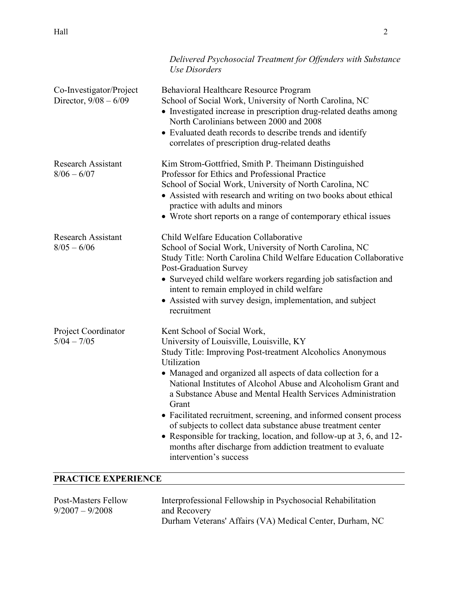|                                                    | Delivered Psychosocial Treatment for Offenders with Substance<br>Use Disorders                                                                                                                                                                                                                                                                                                                                                                                                                                                                                                                                                                                       |  |
|----------------------------------------------------|----------------------------------------------------------------------------------------------------------------------------------------------------------------------------------------------------------------------------------------------------------------------------------------------------------------------------------------------------------------------------------------------------------------------------------------------------------------------------------------------------------------------------------------------------------------------------------------------------------------------------------------------------------------------|--|
| Co-Investigator/Project<br>Director, $9/08 - 6/09$ | Behavioral Healthcare Resource Program<br>School of Social Work, University of North Carolina, NC<br>• Investigated increase in prescription drug-related deaths among<br>North Carolinians between 2000 and 2008<br>• Evaluated death records to describe trends and identify<br>correlates of prescription drug-related deaths                                                                                                                                                                                                                                                                                                                                     |  |
| <b>Research Assistant</b><br>$8/06 - 6/07$         | Kim Strom-Gottfried, Smith P. Theimann Distinguished<br>Professor for Ethics and Professional Practice<br>School of Social Work, University of North Carolina, NC<br>• Assisted with research and writing on two books about ethical<br>practice with adults and minors<br>• Wrote short reports on a range of contemporary ethical issues                                                                                                                                                                                                                                                                                                                           |  |
| <b>Research Assistant</b><br>$8/05 - 6/06$         | Child Welfare Education Collaborative<br>School of Social Work, University of North Carolina, NC<br>Study Title: North Carolina Child Welfare Education Collaborative<br>Post-Graduation Survey<br>• Surveyed child welfare workers regarding job satisfaction and<br>intent to remain employed in child welfare<br>• Assisted with survey design, implementation, and subject<br>recruitment                                                                                                                                                                                                                                                                        |  |
| Project Coordinator<br>$5/04 - 7/05$               | Kent School of Social Work,<br>University of Louisville, Louisville, KY<br>Study Title: Improving Post-treatment Alcoholics Anonymous<br>Utilization<br>• Managed and organized all aspects of data collection for a<br>National Institutes of Alcohol Abuse and Alcoholism Grant and<br>a Substance Abuse and Mental Health Services Administration<br>Grant<br>• Facilitated recruitment, screening, and informed consent process<br>of subjects to collect data substance abuse treatment center<br>• Responsible for tracking, location, and follow-up at 3, 6, and 12-<br>months after discharge from addiction treatment to evaluate<br>intervention's success |  |
| PRACTICE EXPERIENCE                                |                                                                                                                                                                                                                                                                                                                                                                                                                                                                                                                                                                                                                                                                      |  |

| Post-Masters Fellow | Interprofessional Fellowship in Psychosocial Rehabilitation |
|---------------------|-------------------------------------------------------------|
| $9/2007 - 9/2008$   | and Recovery                                                |
|                     | Durham Veterans' Affairs (VA) Medical Center, Durham, NC    |
|                     |                                                             |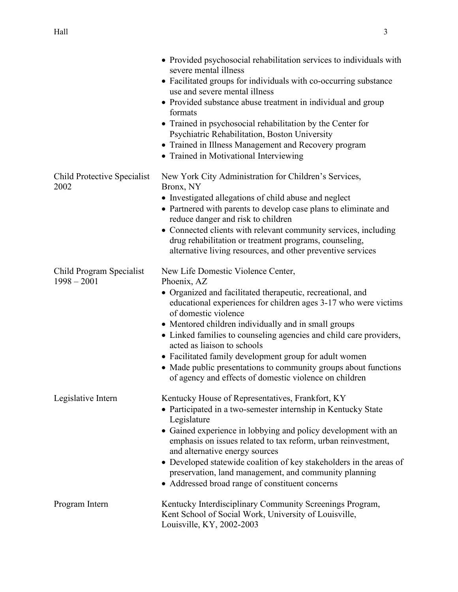|                                           | • Provided psychosocial rehabilitation services to individuals with<br>severe mental illness<br>• Facilitated groups for individuals with co-occurring substance<br>use and severe mental illness<br>• Provided substance abuse treatment in individual and group<br>formats<br>• Trained in psychosocial rehabilitation by the Center for<br>Psychiatric Rehabilitation, Boston University<br>• Trained in Illness Management and Recovery program<br>• Trained in Motivational Interviewing                                                                  |
|-------------------------------------------|----------------------------------------------------------------------------------------------------------------------------------------------------------------------------------------------------------------------------------------------------------------------------------------------------------------------------------------------------------------------------------------------------------------------------------------------------------------------------------------------------------------------------------------------------------------|
| Child Protective Specialist<br>2002       | New York City Administration for Children's Services,<br>Bronx, NY<br>• Investigated allegations of child abuse and neglect<br>• Partnered with parents to develop case plans to eliminate and<br>reduce danger and risk to children<br>• Connected clients with relevant community services, including<br>drug rehabilitation or treatment programs, counseling,<br>alternative living resources, and other preventive services                                                                                                                               |
| Child Program Specialist<br>$1998 - 2001$ | New Life Domestic Violence Center,<br>Phoenix, AZ<br>• Organized and facilitated therapeutic, recreational, and<br>educational experiences for children ages 3-17 who were victims<br>of domestic violence<br>• Mentored children individually and in small groups<br>• Linked families to counseling agencies and child care providers,<br>acted as liaison to schools<br>• Facilitated family development group for adult women<br>• Made public presentations to community groups about functions<br>of agency and effects of domestic violence on children |
| Legislative Intern                        | Kentucky House of Representatives, Frankfort, KY<br>• Participated in a two-semester internship in Kentucky State<br>Legislature<br>• Gained experience in lobbying and policy development with an<br>emphasis on issues related to tax reform, urban reinvestment,<br>and alternative energy sources<br>• Developed statewide coalition of key stakeholders in the areas of<br>preservation, land management, and community planning<br>• Addressed broad range of constituent concerns                                                                       |
| Program Intern                            | Kentucky Interdisciplinary Community Screenings Program,<br>Kent School of Social Work, University of Louisville,<br>Louisville, KY, 2002-2003                                                                                                                                                                                                                                                                                                                                                                                                                 |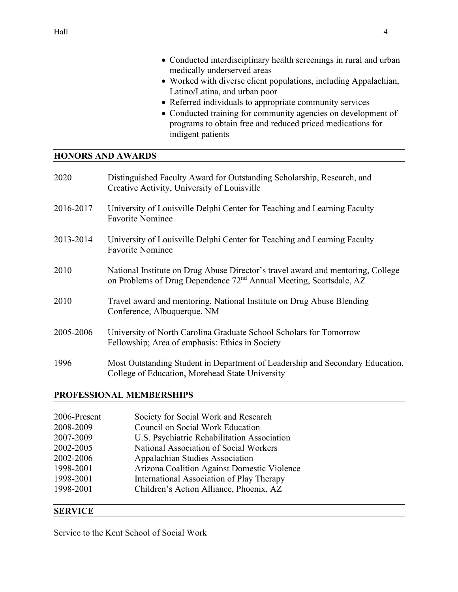- Conducted interdisciplinary health screenings in rural and urban medically underserved areas
- Worked with diverse client populations, including Appalachian, Latino/Latina, and urban poor
- Referred individuals to appropriate community services
- Conducted training for community agencies on development of programs to obtain free and reduced priced medications for indigent patients

#### **HONORS AND AWARDS**

| 2020      | Distinguished Faculty Award for Outstanding Scholarship, Research, and<br>Creative Activity, University of Louisville                                             |
|-----------|-------------------------------------------------------------------------------------------------------------------------------------------------------------------|
| 2016-2017 | University of Louisville Delphi Center for Teaching and Learning Faculty<br><b>Favorite Nominee</b>                                                               |
| 2013-2014 | University of Louisville Delphi Center for Teaching and Learning Faculty<br><b>Favorite Nominee</b>                                                               |
| 2010      | National Institute on Drug Abuse Director's travel award and mentoring, College<br>on Problems of Drug Dependence 72 <sup>nd</sup> Annual Meeting, Scottsdale, AZ |
| 2010      | Travel award and mentoring, National Institute on Drug Abuse Blending<br>Conference, Albuquerque, NM                                                              |
| 2005-2006 | University of North Carolina Graduate School Scholars for Tomorrow<br>Fellowship; Area of emphasis: Ethics in Society                                             |
| 1996      | Most Outstanding Student in Department of Leadership and Secondary Education,<br>College of Education, Morehead State University                                  |

## **PROFESSIONAL MEMBERSHIPS**

| 2006-Present | Society for Social Work and Research        |
|--------------|---------------------------------------------|
| 2008-2009    | Council on Social Work Education            |
| 2007-2009    | U.S. Psychiatric Rehabilitation Association |
| 2002-2005    | National Association of Social Workers      |
| 2002-2006    | <b>Appalachian Studies Association</b>      |
| 1998-2001    | Arizona Coalition Against Domestic Violence |
| 1998-2001    | International Association of Play Therapy   |
| 1998-2001    | Children's Action Alliance, Phoenix, AZ     |
|              |                                             |

# **SERVICE**

Service to the Kent School of Social Work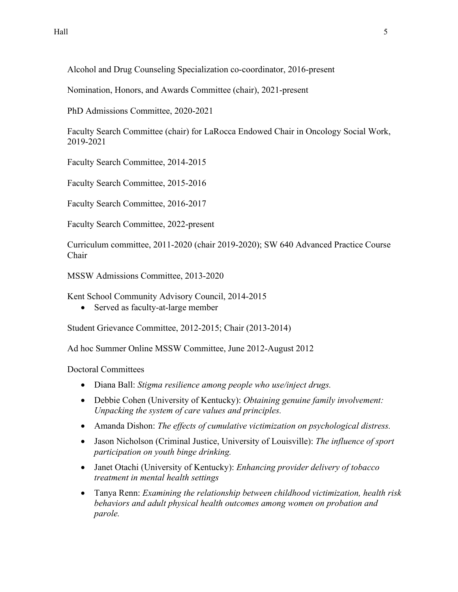Alcohol and Drug Counseling Specialization co-coordinator, 2016-present

Nomination, Honors, and Awards Committee (chair), 2021-present

PhD Admissions Committee, 2020-2021

Faculty Search Committee (chair) for LaRocca Endowed Chair in Oncology Social Work, 2019-2021

Faculty Search Committee, 2014-2015

Faculty Search Committee, 2015-2016

Faculty Search Committee, 2016-2017

Faculty Search Committee, 2022-present

Curriculum committee, 2011-2020 (chair 2019-2020); SW 640 Advanced Practice Course Chair

MSSW Admissions Committee, 2013-2020

Kent School Community Advisory Council, 2014-2015

• Served as faculty-at-large member

Student Grievance Committee, 2012-2015; Chair (2013-2014)

Ad hoc Summer Online MSSW Committee, June 2012-August 2012

Doctoral Committees

- Diana Ball: *Stigma resilience among people who use/inject drugs.*
- Debbie Cohen (University of Kentucky): *Obtaining genuine family involvement: Unpacking the system of care values and principles.*
- Amanda Dishon: *The effects of cumulative victimization on psychological distress.*
- Jason Nicholson (Criminal Justice, University of Louisville): *The influence of sport participation on youth binge drinking.*
- Janet Otachi (University of Kentucky): *Enhancing provider delivery of tobacco treatment in mental health settings*
- Tanya Renn: *Examining the relationship between childhood victimization, health risk behaviors and adult physical health outcomes among women on probation and parole.*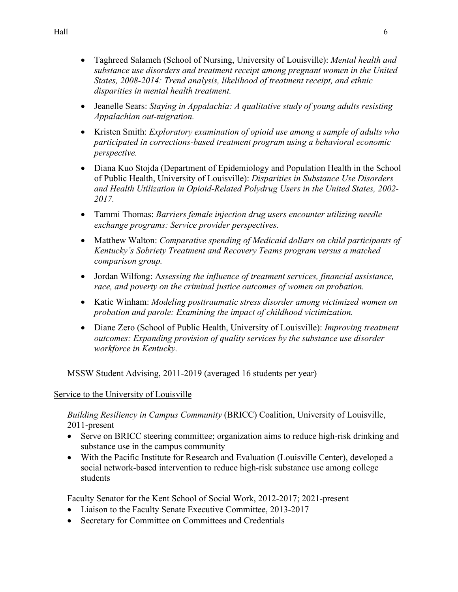- Taghreed Salameh (School of Nursing, University of Louisville): *Mental health and substance use disorders and treatment receipt among pregnant women in the United States, 2008-2014: Trend analysis, likelihood of treatment receipt, and ethnic disparities in mental health treatment.*
- Jeanelle Sears: *Staying in Appalachia: A qualitative study of young adults resisting Appalachian out-migration.*
- Kristen Smith: *Exploratory examination of opioid use among a sample of adults who participated in corrections-based treatment program using a behavioral economic perspective.*
- Diana Kuo Stojda (Department of Epidemiology and Population Health in the School of Public Health, University of Louisville): *Disparities in Substance Use Disorders and Health Utilization in Opioid-Related Polydrug Users in the United States, 2002- 2017.*
- Tammi Thomas: *Barriers female injection drug users encounter utilizing needle exchange programs: Service provider perspectives.*
- Matthew Walton: *Comparative spending of Medicaid dollars on child participants of Kentucky's Sobriety Treatment and Recovery Teams program versus a matched comparison group.*
- Jordan Wilfong: A*ssessing the influence of treatment services, financial assistance, race, and poverty on the criminal justice outcomes of women on probation.*
- Katie Winham: *Modeling posttraumatic stress disorder among victimized women on probation and parole: Examining the impact of childhood victimization.*
- Diane Zero (School of Public Health, University of Louisville): *Improving treatment outcomes: Expanding provision of quality services by the substance use disorder workforce in Kentucky.*

MSSW Student Advising, 2011-2019 (averaged 16 students per year)

## Service to the University of Louisville

*Building Resiliency in Campus Community* (BRICC) Coalition, University of Louisville, 2011-present

- Serve on BRICC steering committee; organization aims to reduce high-risk drinking and substance use in the campus community
- With the Pacific Institute for Research and Evaluation (Louisville Center), developed a social network-based intervention to reduce high-risk substance use among college students

Faculty Senator for the Kent School of Social Work, 2012-2017; 2021-present

- Liaison to the Faculty Senate Executive Committee, 2013-2017
- Secretary for Committee on Committees and Credentials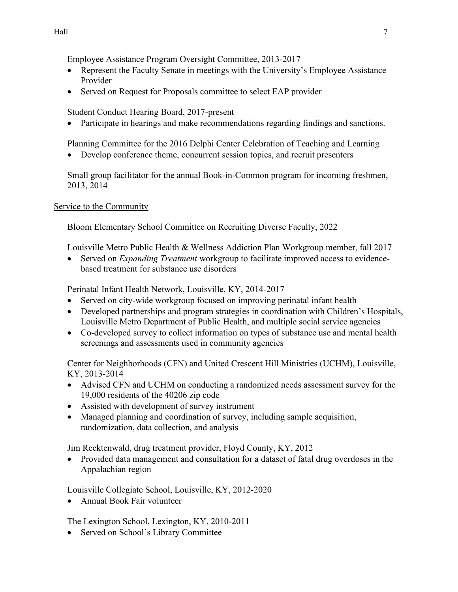Employee Assistance Program Oversight Committee, 2013-2017

- Represent the Faculty Senate in meetings with the University's Employee Assistance Provider
- Served on Request for Proposals committee to select EAP provider

Student Conduct Hearing Board, 2017-present

• Participate in hearings and make recommendations regarding findings and sanctions.

Planning Committee for the 2016 Delphi Center Celebration of Teaching and Learning

• Develop conference theme, concurrent session topics, and recruit presenters

Small group facilitator for the annual Book-in-Common program for incoming freshmen, 2013, 2014

Service to the Community

Bloom Elementary School Committee on Recruiting Diverse Faculty, 2022

Louisville Metro Public Health & Wellness Addiction Plan Workgroup member, fall 2017

• Served on *Expanding Treatment* workgroup to facilitate improved access to evidencebased treatment for substance use disorders

Perinatal Infant Health Network, Louisville, KY, 2014-2017

- Served on city-wide workgroup focused on improving perinatal infant health
- Developed partnerships and program strategies in coordination with Children's Hospitals, Louisville Metro Department of Public Health, and multiple social service agencies
- Co-developed survey to collect information on types of substance use and mental health screenings and assessments used in community agencies

Center for Neighborhoods (CFN) and United Crescent Hill Ministries (UCHM), Louisville, KY, 2013-2014

- Advised CFN and UCHM on conducting a randomized needs assessment survey for the 19,000 residents of the 40206 zip code
- Assisted with development of survey instrument
- Managed planning and coordination of survey, including sample acquisition, randomization, data collection, and analysis

Jim Recktenwald, drug treatment provider, Floyd County, KY, 2012

• Provided data management and consultation for a dataset of fatal drug overdoses in the Appalachian region

Louisville Collegiate School, Louisville, KY, 2012-2020

• Annual Book Fair volunteer

The Lexington School, Lexington, KY, 2010-2011

• Served on School's Library Committee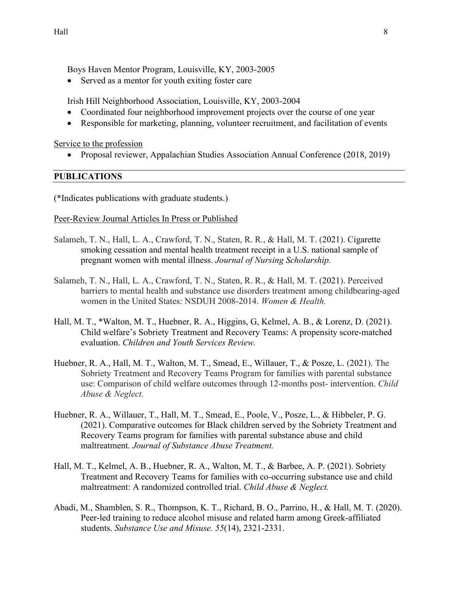Boys Haven Mentor Program, Louisville, KY, 2003-2005

• Served as a mentor for youth exiting foster care

Irish Hill Neighborhood Association, Louisville, KY, 2003-2004

- Coordinated four neighborhood improvement projects over the course of one year
- Responsible for marketing, planning, volunteer recruitment, and facilitation of events

Service to the profession

• Proposal reviewer, Appalachian Studies Association Annual Conference (2018, 2019)

#### **PUBLICATIONS**

(\*Indicates publications with graduate students.)

#### Peer-Review Journal Articles In Press or Published

- Salameh, T. N., Hall, L. A., Crawford, T. N., Staten, R. R., & Hall, M. T. (2021). Cigarette smoking cessation and mental health treatment receipt in a U.S. national sample of pregnant women with mental illness. *Journal of Nursing Scholarship.*
- Salameh, T. N., Hall, L. A., Crawford, T. N., Staten, R. R., & Hall, M. T. (2021). Perceived barriers to mental health and substance use disorders treatment among childbearing-aged women in the United States: NSDUH 2008-2014. *Women & Health.*
- Hall, M. T., \*Walton, M. T., Huebner, R. A., Higgins, G, Kelmel, A. B., & Lorenz, D. (2021). Child welfare's Sobriety Treatment and Recovery Teams: A propensity score-matched evaluation. *Children and Youth Services Review.*
- Huebner, R. A., Hall, M. T., Walton, M. T., Smead, E., Willauer, T., & Posze, L. (2021). The Sobriety Treatment and Recovery Teams Program for families with parental substance use: Comparison of child welfare outcomes through 12-months post- intervention. *Child Abuse & Neglect.*
- Huebner, R. A., Willauer, T., Hall, M. T., Smead, E., Poole, V., Posze, L., & Hibbeler, P. G. (2021). Comparative outcomes for Black children served by the Sobriety Treatment and Recovery Teams program for families with parental substance abuse and child maltreatment. *Journal of Substance Abuse Treatment.*
- Hall, M. T., Kelmel, A. B., Huebner, R. A., Walton, M. T., & Barbee, A. P. (2021). Sobriety Treatment and Recovery Teams for families with co-occurring substance use and child maltreatment: A randomized controlled trial. *Child Abuse & Neglect.*
- Abadi, M., Shamblen, S. R., Thompson, K. T., Richard, B. O., Parrino, H., & Hall, M. T. (2020). Peer-led training to reduce alcohol misuse and related harm among Greek-affiliated students. *Substance Use and Misuse. 55*(14), 2321-2331.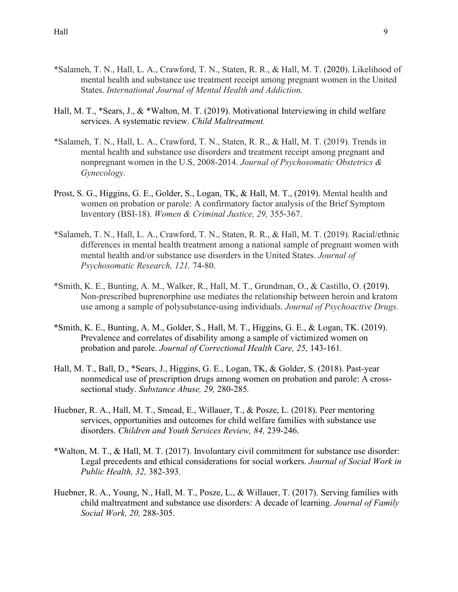- \*Salameh, T. N., Hall, L. A., Crawford, T. N., Staten, R. R., & Hall, M. T. (2020). Likelihood of mental health and substance use treatment receipt among pregnant women in the United States. *International Journal of Mental Health and Addiction.*
- Hall, M. T., \*Sears, J., & \*Walton, M. T. (2019). Motivational Interviewing in child welfare services. A systematic review. *Child Maltreatment.*
- \*Salameh, T. N., Hall, L. A., Crawford, T. N., Staten, R. R., & Hall, M. T. (2019). Trends in mental health and substance use disorders and treatment receipt among pregnant and nonpregnant women in the U.S, 2008-2014. *Journal of Psychosomatic Obstetrics & Gynecology.*
- Prost, S. G., Higgins, G. E., Golder, S., Logan, TK, & Hall, M. T., (2019). Mental health and women on probation or parole: A confirmatory factor analysis of the Brief Symptom Inventory (BSI-18). *Women & Criminal Justice, 29,* 355-367.
- \*Salameh, T. N., Hall, L. A., Crawford, T. N., Staten, R. R., & Hall, M. T. (2019). Racial/ethnic differences in mental health treatment among a national sample of pregnant women with mental health and/or substance use disorders in the United States. *Journal of Psychosomatic Research, 121,* 74-80.
- \*Smith, K. E., Bunting, A. M., Walker, R., Hall, M. T., Grundman, O., & Castillo, O. (2019). Non-prescribed buprenorphine use mediates the relationship between heroin and kratom use among a sample of polysubstance-using individuals. *Journal of Psychoactive Drugs.*
- \*Smith, K. E., Bunting, A. M., Golder, S., Hall, M. T., Higgins, G. E., & Logan, TK. (2019). Prevalence and correlates of disability among a sample of victimized women on probation and parole. *Journal of Correctional Health Care, 25,* 143-161*.*
- Hall, M. T., Ball, D., \*Sears, J., Higgins, G. E., Logan, TK, & Golder, S. (2018). Past-year nonmedical use of prescription drugs among women on probation and parole: A crosssectional study. *Substance Abuse, 29,* 280-285*.*
- Huebner, R. A., Hall, M. T., Smead, E., Willauer, T., & Posze, L. (2018). Peer mentoring services, opportunities and outcomes for child welfare families with substance use disorders. *Children and Youth Services Review, 84,* 239-246.
- \*Walton, M. T., & Hall, M. T. (2017). Involuntary civil commitment for substance use disorder: Legal precedents and ethical considerations for social workers. *Journal of Social Work in Public Health, 32,* 382-393.
- Huebner, R. A., Young, N., Hall, M. T., Posze, L., & Willauer, T. (2017). Serving families with child maltreatment and substance use disorders: A decade of learning. *Journal of Family Social Work, 20,* 288-305.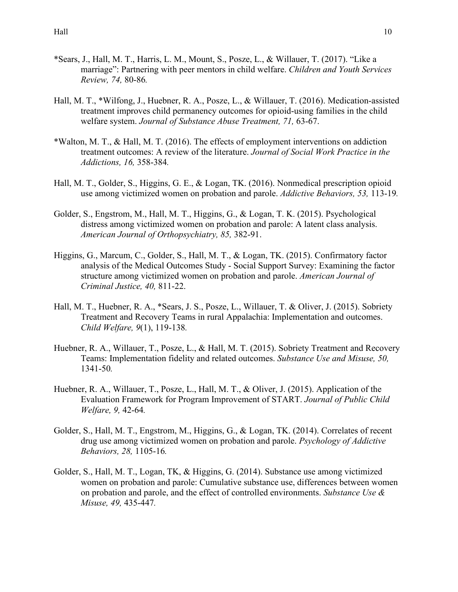- \*Sears, J., Hall, M. T., Harris, L. M., Mount, S., Posze, L., & Willauer, T. (2017). "Like a marriage": Partnering with peer mentors in child welfare. *Children and Youth Services Review, 74,* 80-86*.*
- Hall, M. T., \*Wilfong, J., Huebner, R. A., Posze, L., & Willauer, T. (2016). Medication-assisted treatment improves child permanency outcomes for opioid-using families in the child welfare system. *Journal of Substance Abuse Treatment, 71,* 63-67.
- \*Walton, M. T., & Hall, M. T. (2016). The effects of employment interventions on addiction treatment outcomes: A review of the literature. *Journal of Social Work Practice in the Addictions, 16,* 358-384*.*
- Hall, M. T., Golder, S., Higgins, G. E., & Logan, TK. (2016). Nonmedical prescription opioid use among victimized women on probation and parole. *Addictive Behaviors, 53,* 113-19*.*
- Golder, S., Engstrom, M., Hall, M. T., Higgins, G., & Logan, T. K. (2015). Psychological distress among victimized women on probation and parole: A latent class analysis. *American Journal of Orthopsychiatry, 85,* 382-91.
- Higgins, G., Marcum, C., Golder, S., Hall, M. T., & Logan, TK. (2015). Confirmatory factor analysis of the Medical Outcomes Study - Social Support Survey: Examining the factor structure among victimized women on probation and parole. *American Journal of Criminal Justice, 40,* 811-22.
- Hall, M. T., Huebner, R. A., \*Sears, J. S., Posze, L., Willauer, T. & Oliver, J. (2015). Sobriety Treatment and Recovery Teams in rural Appalachia: Implementation and outcomes. *Child Welfare, 9*(1), 119-138*.*
- Huebner, R. A., Willauer, T., Posze, L., & Hall, M. T. (2015). Sobriety Treatment and Recovery Teams: Implementation fidelity and related outcomes. *Substance Use and Misuse, 50,*  1341-50*.*
- Huebner, R. A., Willauer, T., Posze, L., Hall, M. T., & Oliver, J. (2015). Application of the Evaluation Framework for Program Improvement of START. *Journal of Public Child Welfare, 9,* 42-64*.*
- Golder, S., Hall, M. T., Engstrom, M., Higgins, G., & Logan, TK. (2014). Correlates of recent drug use among victimized women on probation and parole. *Psychology of Addictive Behaviors, 28,* 1105-16*.*
- Golder, S., Hall, M. T., Logan, TK, & Higgins, G. (2014). Substance use among victimized women on probation and parole: Cumulative substance use, differences between women on probation and parole, and the effect of controlled environments. *Substance Use & Misuse, 49,* 435-447*.*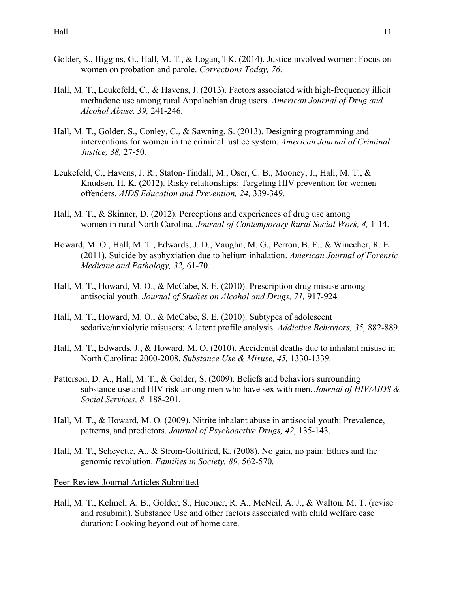- Golder, S., Higgins, G., Hall, M. T., & Logan, TK. (2014). Justice involved women: Focus on women on probation and parole. *Corrections Today, 76.*
- Hall, M. T., Leukefeld, C., & Havens, J. (2013). Factors associated with high-frequency illicit methadone use among rural Appalachian drug users. *American Journal of Drug and Alcohol Abuse, 39,* 241-246.
- Hall, M. T., Golder, S., Conley, C., & Sawning, S. (2013). Designing programming and interventions for women in the criminal justice system. *American Journal of Criminal Justice, 38,* 27-50*.*
- Leukefeld, C., Havens, J. R., Staton-Tindall, M., Oser, C. B., Mooney, J., Hall, M. T., & Knudsen, H. K. (2012). Risky relationships: Targeting HIV prevention for women offenders. *AIDS Education and Prevention, 24,* 339-349*.*
- Hall, M. T., & Skinner, D. (2012). Perceptions and experiences of drug use among women in rural North Carolina. *Journal of Contemporary Rural Social Work, 4,* 1-14.
- Howard, M. O., Hall, M. T., Edwards, J. D., Vaughn, M. G., Perron, B. E., & Winecher, R. E. (2011). Suicide by asphyxiation due to helium inhalation. *American Journal of Forensic Medicine and Pathology, 32,* 61-70*.*
- Hall, M. T., Howard, M. O., & McCabe, S. E. (2010). Prescription drug misuse among antisocial youth. *Journal of Studies on Alcohol and Drugs, 71,* 917-924*.*
- Hall, M. T., Howard, M. O., & McCabe, S. E. (2010). Subtypes of adolescent sedative/anxiolytic misusers: A latent profile analysis. *Addictive Behaviors, 35,* 882-889*.*
- Hall, M. T., Edwards, J., & Howard, M. O. (2010). Accidental deaths due to inhalant misuse in North Carolina: 2000-2008. *Substance Use & Misuse, 45,* 1330-1339*.*
- Patterson, D. A., Hall, M. T., & Golder, S. (2009). Beliefs and behaviors surrounding substance use and HIV risk among men who have sex with men. *Journal of HIV/AIDS & Social Services, 8,* 188-201.
- Hall, M. T., & Howard, M. O. (2009). Nitrite inhalant abuse in antisocial youth: Prevalence, patterns, and predictors. *Journal of Psychoactive Drugs, 42,* 135-143.
- Hall, M. T., Scheyette, A., & Strom-Gottfried, K. (2008). No gain, no pain: Ethics and the genomic revolution. *Families in Society, 89,* 562-570*.*

#### Peer-Review Journal Articles Submitted

Hall, M. T., Kelmel, A. B., Golder, S., Huebner, R. A., McNeil, A. J., & Walton, M. T. (revise and resubmit). Substance Use and other factors associated with child welfare case duration: Looking beyond out of home care.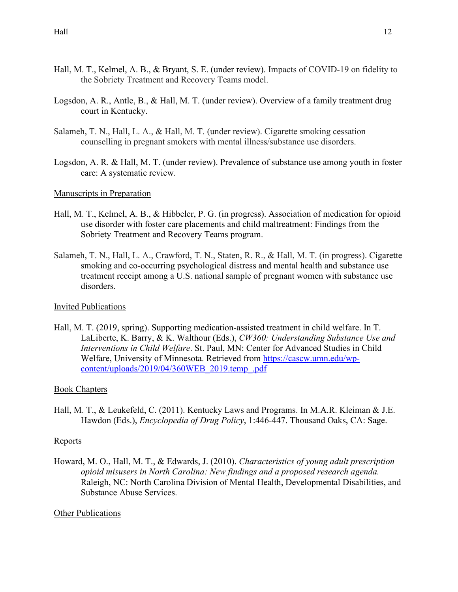- Hall, M. T., Kelmel, A. B., & Bryant, S. E. (under review). Impacts of COVID-19 on fidelity to the Sobriety Treatment and Recovery Teams model.
- Logsdon, A. R., Antle, B., & Hall, M. T. (under review). Overview of a family treatment drug court in Kentucky.
- Salameh, T. N., Hall, L. A., & Hall, M. T. (under review). Cigarette smoking cessation counselling in pregnant smokers with mental illness/substance use disorders.
- Logsdon, A. R. & Hall, M. T. (under review). Prevalence of substance use among youth in foster care: A systematic review.

# Manuscripts in Preparation

- Hall, M. T., Kelmel, A. B., & Hibbeler, P. G. (in progress). Association of medication for opioid use disorder with foster care placements and child maltreatment: Findings from the Sobriety Treatment and Recovery Teams program.
- Salameh, T. N., Hall, L. A., Crawford, T. N., Staten, R. R., & Hall, M. T. (in progress). Cigarette smoking and co-occurring psychological distress and mental health and substance use treatment receipt among a U.S. national sample of pregnant women with substance use disorders.

## Invited Publications

Hall, M. T. (2019, spring). Supporting medication-assisted treatment in child welfare. In T. LaLiberte, K. Barry, & K. Walthour (Eds.), *CW360: Understanding Substance Use and Interventions in Child Welfare*. St. Paul, MN: Center for Advanced Studies in Child Welfare, University of Minnesota. Retrieved from [https://cascw.umn.edu/wp](https://cascw.umn.edu/wp-content/uploads/2019/04/360WEB_2019.temp_.pdf)[content/uploads/2019/04/360WEB\\_2019.temp\\_.pdf](https://cascw.umn.edu/wp-content/uploads/2019/04/360WEB_2019.temp_.pdf)

## Book Chapters

Hall, M. T., & Leukefeld, C. (2011). Kentucky Laws and Programs. In M.A.R. Kleiman & J.E. Hawdon (Eds.), *Encyclopedia of Drug Policy*, 1:446-447. Thousand Oaks, CA: Sage.

## Reports

Howard, M. O., Hall, M. T., & Edwards, J. (2010). *Characteristics of young adult prescription opioid misusers in North Carolina: New findings and a proposed research agenda.* Raleigh, NC: North Carolina Division of Mental Health, Developmental Disabilities, and Substance Abuse Services.

## Other Publications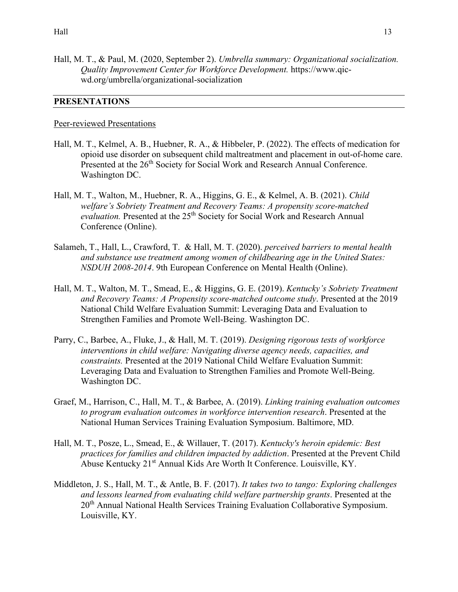Hall, M. T., & Paul, M. (2020, September 2). *Umbrella summary: Organizational socialization. Quality Improvement Center for Workforce Development.* https://www.qicwd.org/umbrella/organizational-socialization

#### **PRESENTATIONS**

#### Peer-reviewed Presentations

- Hall, M. T., Kelmel, A. B., Huebner, R. A., & Hibbeler, P. (2022). The effects of medication for opioid use disorder on subsequent child maltreatment and placement in out-of-home care. Presented at the 26<sup>th</sup> Society for Social Work and Research Annual Conference. Washington DC.
- Hall, M. T., Walton, M., Huebner, R. A., Higgins, G. E., & Kelmel, A. B. (2021). *Child welfare's Sobriety Treatment and Recovery Teams: A propensity score-matched*  evaluation. Presented at the 25<sup>th</sup> Society for Social Work and Research Annual Conference (Online).
- Salameh, T., Hall, L., Crawford, T. & Hall, M. T. (2020). *perceived barriers to mental health and substance use treatment among women of childbearing age in the United States: NSDUH 2008-2014*. 9th European Conference on Mental Health (Online).
- Hall, M. T., Walton, M. T., Smead, E., & Higgins, G. E. (2019). *Kentucky's Sobriety Treatment and Recovery Teams: A Propensity score-matched outcome study*. Presented at the 2019 National Child Welfare Evaluation Summit: Leveraging Data and Evaluation to Strengthen Families and Promote Well-Being. Washington DC.
- Parry, C., Barbee, A., Fluke, J., & Hall, M. T. (2019). *Designing rigorous tests of workforce interventions in child welfare: Navigating diverse agency needs, capacities, and constraints.* Presented at the 2019 National Child Welfare Evaluation Summit: Leveraging Data and Evaluation to Strengthen Families and Promote Well-Being. Washington DC.
- Graef, M., Harrison, C., Hall, M. T., & Barbee, A. (2019). *Linking training evaluation outcomes to program evaluation outcomes in workforce intervention research*. Presented at the National Human Services Training Evaluation Symposium. Baltimore, MD.
- Hall, M. T., Posze, L., Smead, E., & Willauer, T. (2017). *Kentucky's heroin epidemic: Best practices for families and children impacted by addiction*. Presented at the Prevent Child Abuse Kentucky 21<sup>st</sup> Annual Kids Are Worth It Conference. Louisville, KY.
- Middleton, J. S., Hall, M. T., & Antle, B. F. (2017). *It takes two to tango: Exploring challenges and lessons learned from evaluating child welfare partnership grants*. Presented at the 20<sup>th</sup> Annual National Health Services Training Evaluation Collaborative Symposium. Louisville, KY.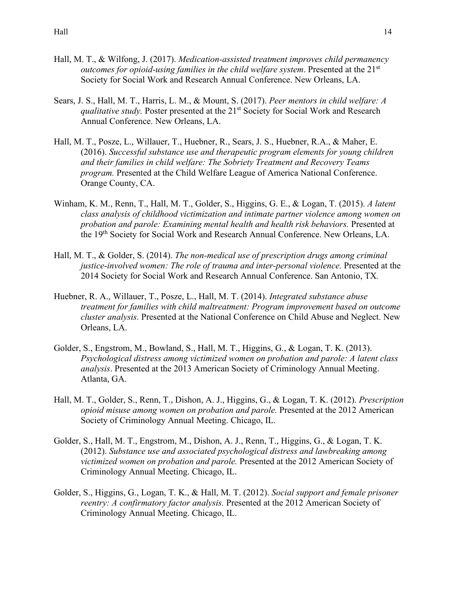- Hall, M. T., & Wilfong, J. (2017). *Medication-assisted treatment improves child permanency outcomes for opioid-using families in the child welfare system.* Presented at the 21<sup>st</sup> Society for Social Work and Research Annual Conference. New Orleans, LA.
- Sears, J. S., Hall, M. T., Harris, L. M., & Mount, S. (2017). *Peer mentors in child welfare: A qualitative study.* Poster presented at the 21<sup>st</sup> Society for Social Work and Research Annual Conference. New Orleans, LA.
- Hall, M. T., Posze, L., Willauer, T., Huebner, R., Sears, J. S., Huebner, R.A., & Maher, E. (2016). *Successful substance use and therapeutic program elements for young children and their families in child welfare: The Sobriety Treatment and Recovery Teams program.* Presented at the Child Welfare League of America National Conference. Orange County, CA.
- Winham, K. M., Renn, T., Hall, M. T., Golder, S., Higgins, G. E., & Logan, T. (2015). *A latent class analysis of childhood victimization and intimate partner violence among women on probation and parole: Examining mental health and health risk behaviors.* Presented at the 19th Society for Social Work and Research Annual Conference. New Orleans, LA.
- Hall, M. T., & Golder, S. (2014). *The non-medical use of prescription drugs among criminal justice-involved women: The role of trauma and inter-personal violence.* Presented at the 2014 Society for Social Work and Research Annual Conference. San Antonio, TX*.*
- Huebner, R. A., Willauer, T., Posze, L., Hall, M. T. (2014). *Integrated substance abuse treatment for families with child maltreatment: Program improvement based on outcome cluster analysis.* Presented at the National Conference on Child Abuse and Neglect. New Orleans, LA.
- Golder, S., Engstrom, M., Bowland, S., Hall, M. T., Higgins, G., & Logan, T. K. (2013). *Psychological distress among victimized women on probation and parole: A latent class analysis*. Presented at the 2013 American Society of Criminology Annual Meeting. Atlanta, GA.
- Hall, M. T., Golder, S., Renn, T., Dishon, A. J., Higgins, G., & Logan, T. K. (2012). *Prescription opioid misuse among women on probation and parole.* Presented at the 2012 American Society of Criminology Annual Meeting. Chicago, IL.
- Golder, S., Hall, M. T., Engstrom, M., Dishon, A. J., Renn, T., Higgins, G., & Logan, T. K. (2012). *Substance use and associated psychological distress and lawbreaking among victimized women on probation and parole.* Presented at the 2012 American Society of Criminology Annual Meeting. Chicago, IL.
- Golder, S., Higgins, G., Logan, T. K., & Hall, M. T. (2012). *Social support and female prisoner reentry: A confirmatory factor analysis.* Presented at the 2012 American Society of Criminology Annual Meeting. Chicago, IL.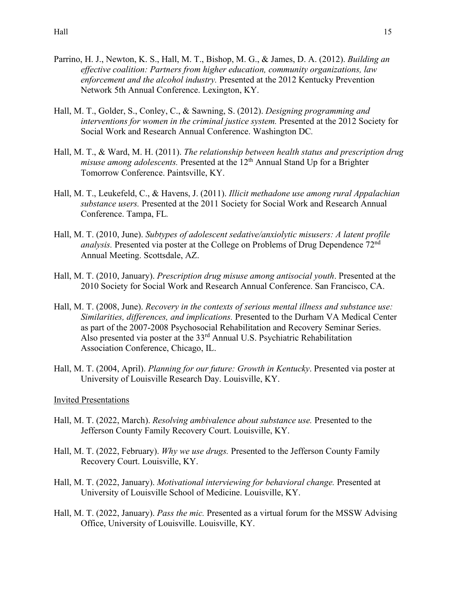- Parrino, H. J., Newton, K. S., Hall, M. T., Bishop, M. G., & James, D. A. (2012). *Building an effective coalition: Partners from higher education, community organizations, law enforcement and the alcohol industry.* Presented at the 2012 Kentucky Prevention Network 5th Annual Conference. Lexington, KY.
- Hall, M. T., Golder, S., Conley, C., & Sawning, S. (2012). *Designing programming and interventions for women in the criminal justice system.* Presented at the 2012 Society for Social Work and Research Annual Conference. Washington DC*.*
- Hall, M. T., & Ward, M. H. (2011). *The relationship between health status and prescription drug misuse among adolescents.* Presented at the 12<sup>th</sup> Annual Stand Up for a Brighter Tomorrow Conference. Paintsville, KY.
- Hall, M. T., Leukefeld, C., & Havens, J. (2011). *Illicit methadone use among rural Appalachian substance users.* Presented at the 2011 Society for Social Work and Research Annual Conference. Tampa, FL*.*
- Hall, M. T. (2010, June). *Subtypes of adolescent sedative/anxiolytic misusers: A latent profile analysis.* Presented via poster at the College on Problems of Drug Dependence 72nd Annual Meeting. Scottsdale, AZ.
- Hall, M. T. (2010, January). *Prescription drug misuse among antisocial youth*. Presented at the 2010 Society for Social Work and Research Annual Conference. San Francisco, CA.
- Hall, M. T. (2008, June). *Recovery in the contexts of serious mental illness and substance use: Similarities, differences, and implications.* Presented to the Durham VA Medical Center as part of the 2007-2008 Psychosocial Rehabilitation and Recovery Seminar Series. Also presented via poster at the 33rd Annual U.S. Psychiatric Rehabilitation Association Conference, Chicago, IL.
- Hall, M. T. (2004, April). *Planning for our future: Growth in Kentucky*. Presented via poster at University of Louisville Research Day. Louisville, KY.

#### Invited Presentations

- Hall, M. T. (2022, March). *Resolving ambivalence about substance use.* Presented to the Jefferson County Family Recovery Court. Louisville, KY.
- Hall, M. T. (2022, February). *Why we use drugs.* Presented to the Jefferson County Family Recovery Court. Louisville, KY.
- Hall, M. T. (2022, January). *Motivational interviewing for behavioral change.* Presented at University of Louisville School of Medicine. Louisville, KY.
- Hall, M. T. (2022, January). *Pass the mic.* Presented as a virtual forum for the MSSW Advising Office, University of Louisville. Louisville, KY.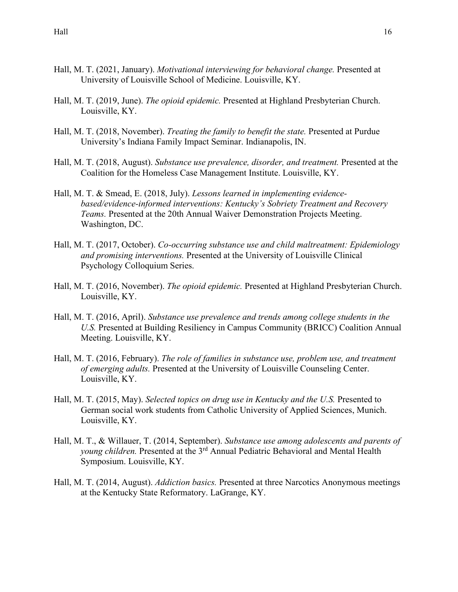- Hall, M. T. (2021, January). *Motivational interviewing for behavioral change.* Presented at University of Louisville School of Medicine. Louisville, KY.
- Hall, M. T. (2019, June). *The opioid epidemic.* Presented at Highland Presbyterian Church. Louisville, KY.
- Hall, M. T. (2018, November). *Treating the family to benefit the state.* Presented at Purdue University's Indiana Family Impact Seminar. Indianapolis, IN.
- Hall, M. T. (2018, August). *Substance use prevalence, disorder, and treatment.* Presented at the Coalition for the Homeless Case Management Institute. Louisville, KY.
- Hall, M. T. & Smead, E. (2018, July). *Lessons learned in implementing evidencebased/evidence-informed interventions: Kentucky's Sobriety Treatment and Recovery Teams.* Presented at the 20th Annual Waiver Demonstration Projects Meeting. Washington, DC.
- Hall, M. T. (2017, October). *Co-occurring substance use and child maltreatment: Epidemiology and promising interventions.* Presented at the University of Louisville Clinical Psychology Colloquium Series.
- Hall, M. T. (2016, November). *The opioid epidemic.* Presented at Highland Presbyterian Church. Louisville, KY.
- Hall, M. T. (2016, April). *Substance use prevalence and trends among college students in the U.S.* Presented at Building Resiliency in Campus Community (BRICC) Coalition Annual Meeting. Louisville, KY.
- Hall, M. T. (2016, February). *The role of families in substance use, problem use, and treatment of emerging adults.* Presented at the University of Louisville Counseling Center. Louisville, KY.
- Hall, M. T. (2015, May). *Selected topics on drug use in Kentucky and the U.S.* Presented to German social work students from Catholic University of Applied Sciences, Munich. Louisville, KY.
- Hall, M. T., & Willauer, T. (2014, September). *Substance use among adolescents and parents of young children.* Presented at the 3rd Annual Pediatric Behavioral and Mental Health Symposium. Louisville, KY.
- Hall, M. T. (2014, August). *Addiction basics.* Presented at three Narcotics Anonymous meetings at the Kentucky State Reformatory. LaGrange, KY.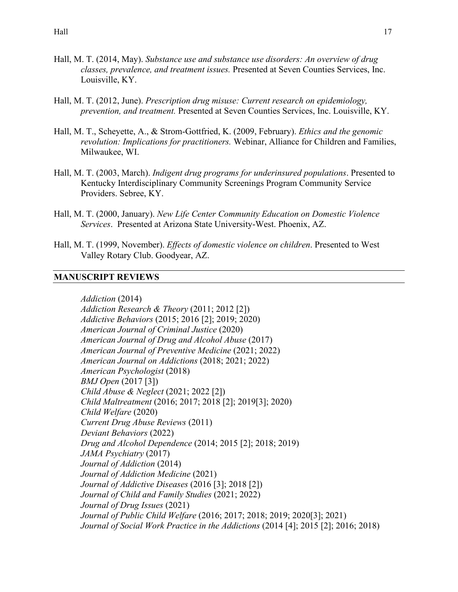- Hall, M. T. (2014, May). *Substance use and substance use disorders: An overview of drug classes, prevalence, and treatment issues.* Presented at Seven Counties Services, Inc. Louisville, KY.
- Hall, M. T. (2012, June). *Prescription drug misuse: Current research on epidemiology, prevention, and treatment.* Presented at Seven Counties Services, Inc. Louisville, KY.
- Hall, M. T., Scheyette, A., & Strom-Gottfried, K. (2009, February). *Ethics and the genomic revolution: Implications for practitioners.* Webinar, Alliance for Children and Families, Milwaukee, WI.
- Hall, M. T. (2003, March). *Indigent drug programs for underinsured populations*. Presented to Kentucky Interdisciplinary Community Screenings Program Community Service Providers. Sebree, KY.
- Hall, M. T. (2000, January). *New Life Center Community Education on Domestic Violence Services*. Presented at Arizona State University-West. Phoenix, AZ.
- Hall, M. T. (1999, November). *Effects of domestic violence on children*. Presented to West Valley Rotary Club. Goodyear, AZ.

#### **MANUSCRIPT REVIEWS**

*Addiction* (2014) *Addiction Research & Theory* (2011; 2012 [2]) *Addictive Behaviors* (2015; 2016 [2]; 2019; 2020) *American Journal of Criminal Justice* (2020) *American Journal of Drug and Alcohol Abuse* (2017) *American Journal of Preventive Medicine* (2021; 2022) *American Journal on Addictions* (2018; 2021; 2022) *American Psychologist* (2018) *BMJ Open* (2017 [3]) *Child Abuse & Neglect* (2021; 2022 [2]) *Child Maltreatment* (2016; 2017; 2018 [2]; 2019[3]; 2020) *Child Welfare* (2020) *Current Drug Abuse Reviews* (2011) *Deviant Behaviors* (2022) *Drug and Alcohol Dependence* (2014; 2015 [2]; 2018; 2019) *JAMA Psychiatry* (2017) *Journal of Addiction* (2014) *Journal of Addiction Medicine* (2021) *Journal of Addictive Diseases* (2016 [3]; 2018 [2]) *Journal of Child and Family Studies* (2021; 2022) *Journal of Drug Issues* (2021) *Journal of Public Child Welfare* (2016; 2017; 2018; 2019; 2020[3]; 2021) *Journal of Social Work Practice in the Addictions* (2014 [4]; 2015 [2]; 2016; 2018)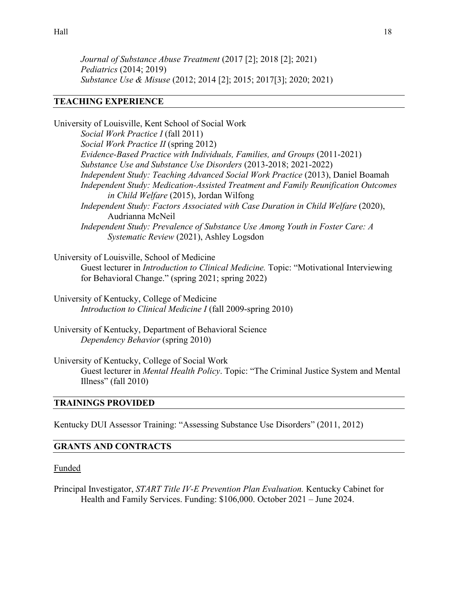*Journal of Substance Abuse Treatment* (2017 [2]; 2018 [2]; 2021) *Pediatrics* (2014; 2019) *Substance Use & Misuse* (2012; 2014 [2]; 2015; 2017[3]; 2020; 2021)

## **TEACHING EXPERIENCE**

University of Louisville, Kent School of Social Work *Social Work Practice I* (fall 2011) *Social Work Practice II* (spring 2012) *Evidence-Based Practice with Individuals, Families, and Groups* (2011-2021)  *Substance Use and Substance Use Disorders* (2013-2018; 2021-2022)  *Independent Study: Teaching Advanced Social Work Practice* (2013), Daniel Boamah  *Independent Study: Medication-Assisted Treatment and Family Reunification Outcomes in Child Welfare* (2015), Jordan Wilfong *Independent Study: Factors Associated with Case Duration in Child Welfare (2020),* Audrianna McNeil *Independent Study: Prevalence of Substance Use Among Youth in Foster Care: A Systematic Review* (2021), Ashley Logsdon

- University of Louisville, School of Medicine Guest lecturer in *Introduction to Clinical Medicine.* Topic: "Motivational Interviewing for Behavioral Change." (spring 2021; spring 2022)
- University of Kentucky, College of Medicine *Introduction to Clinical Medicine I* (fall 2009-spring 2010)
- University of Kentucky, Department of Behavioral Science *Dependency Behavior* (spring 2010)
- University of Kentucky, College of Social Work Guest lecturer in *Mental Health Policy*. Topic: "The Criminal Justice System and Mental Illness" (fall  $2010$ )

# **TRAININGS PROVIDED**

Kentucky DUI Assessor Training: "Assessing Substance Use Disorders" (2011, 2012)

# **GRANTS AND CONTRACTS**

Funded

Principal Investigator, *START Title IV-E Prevention Plan Evaluation.* Kentucky Cabinet for Health and Family Services. Funding: \$106,000. October 2021 – June 2024.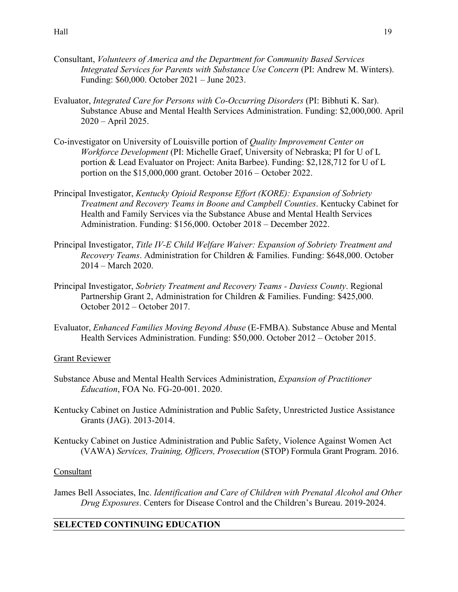- Consultant, *Volunteers of America and the Department for Community Based Services Integrated Services for Parents with Substance Use Concern* (PI: Andrew M. Winters). Funding: \$60,000. October 2021 – June 2023.
- Evaluator, *Integrated Care for Persons with Co-Occurring Disorders* (PI: Bibhuti K. Sar). Substance Abuse and Mental Health Services Administration. Funding: \$2,000,000. April 2020 – April 2025.
- Co-investigator on University of Louisville portion of *Quality Improvement Center on Workforce Development* (PI: Michelle Graef, University of Nebraska; PI for U of L portion & Lead Evaluator on Project: Anita Barbee). Funding: \$2,128,712 for U of L portion on the \$15,000,000 grant. October 2016 – October 2022.
- Principal Investigator, *Kentucky Opioid Response Effort (KORE): Expansion of Sobriety Treatment and Recovery Teams in Boone and Campbell Counties*. Kentucky Cabinet for Health and Family Services via the Substance Abuse and Mental Health Services Administration. Funding: \$156,000. October 2018 – December 2022.
- Principal Investigator, *Title IV-E Child Welfare Waiver: Expansion of Sobriety Treatment and Recovery Teams*. Administration for Children & Families. Funding: \$648,000. October 2014 – March 2020.
- Principal Investigator, *Sobriety Treatment and Recovery Teams Daviess County*. Regional Partnership Grant 2, Administration for Children & Families. Funding: \$425,000. October 2012 – October 2017.
- Evaluator, *Enhanced Families Moving Beyond Abuse* (E-FMBA). Substance Abuse and Mental Health Services Administration. Funding: \$50,000. October 2012 – October 2015.

# Grant Reviewer

- Substance Abuse and Mental Health Services Administration, *Expansion of Practitioner Education*, FOA No. FG-20-001. 2020.
- Kentucky Cabinet on Justice Administration and Public Safety, Unrestricted Justice Assistance Grants (JAG). 2013-2014.
- Kentucky Cabinet on Justice Administration and Public Safety, Violence Against Women Act (VAWA) *Services, Training, Officers, Prosecution* (STOP) Formula Grant Program. 2016.

## **Consultant**

James Bell Associates, Inc. *Identification and Care of Children with Prenatal Alcohol and Other Drug Exposures*. Centers for Disease Control and the Children's Bureau. 2019-2024.

# **SELECTED CONTINUING EDUCATION**